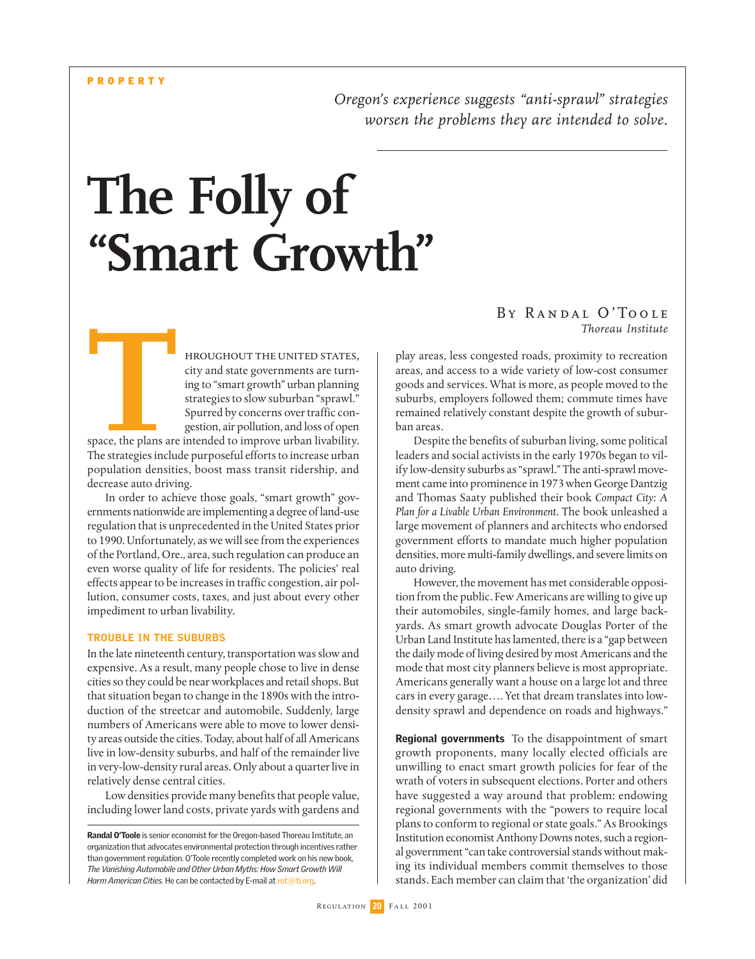*Oregon's experience suggests "anti-sprawl" strategies worsen the problems they are intended to solve.*

# **The Folly of "Smart Growth"**

hroughout the united states, city and state governments are turning to "smart growth" urban planning strategies to slow suburban "sprawl." Spurred by concerns over traffic congestion, air pollution, and loss of open

space, the plans are intended to improve urban livability. The strategies include purposeful efforts to increase urban population densities, boost mass transit ridership, and decrease auto driving. **THE SEAL OF STATE SEAL OF STATE SEAL OF STATE SEAL OF STATE SEAL OF STATE SEAL OF STATE SEAL OF STATE SEAL OF STATE SEAL OF STATE SEAL OF STATE SEAL OF STATE SEAL OF STATE SEAL OF STATE SEAL OF STATE SEAL OF STATE SEAL OF** 

In order to achieve those goals, "smart growth" governments nationwide are implementing a degree of land-use regulation that is unprecedented in the United States prior to 1990. Unfortunately, as we will see from the experiences of the Portland, Ore., area, such regulation can produce an even worse quality of life for residents. The policies' real effects appear to be increases in traffic congestion, air pollution, consumer costs, taxes, and just about every other impediment to urban livability.

#### TROUBLE IN THE SUBURBS

In the late nineteenth century, transportation was slow and expensive. As a result, many people chose to live in dense cities so they could be near workplaces and retail shops. But that situation began to change in the 1890s with the introduction of the streetcar and automobile. Suddenly, large numbers of Americans were able to move to lower density areas outside the cities. Today, about half of all Americans live in low-density suburbs, and half of the remainder live in very-low-density rural areas. Only about a quarter live in relatively dense central cities.

Low densities provide many benefits that people value, including lower land costs, private yards with gardens and

Randal O'Toole is senior economist for the Oregon-based Thoreau Institute, an organization that advocates environmental protection through incentives rather than government regulation. O'Toole recently completed work on his new book, *The Vanishing Automobile and Other Urban Myths: How Smart Growth Will Harm American Cities.* He can be contacted by E-mail at rot@ti.org.

### *By Randal O'Toole Thoreau Institute*

play areas, less congested roads, proximity to recreation areas, and access to a wide variety of low-cost consumer goods and services. What is more, as people moved to the suburbs, employers followed them; commute times have remained relatively constant despite the growth of suburban areas.

Despite the benefits of suburban living, some political leaders and social activists in the early 1970s began to vilify low-density suburbs as "sprawl." The anti-sprawl movement came into prominence in 1973 when George Dantzig and Thomas Saaty published their book *Compact City: A Plan for a Livable Urban Environment*. The book unleashed a large movement of planners and architects who endorsed government efforts to mandate much higher population densities, more multi-family dwellings, and severe limits on auto driving.

However, the movement has met considerable opposition from the public. Few Americans are willing to give up their automobiles, single-family homes, and large backyards. As smart growth advocate Douglas Porter of the Urban Land Institute has lamented, there is a "gap between the daily mode of living desired by most Americans and the mode that most city planners believe is most appropriate. Americans generally want a house on a large lot and three cars in every garage…. Yet that dream translates into lowdensity sprawl and dependence on roads and highways."

**Regional governments** To the disappointment of smart growth proponents, many locally elected officials are unwilling to enact smart growth policies for fear of the wrath of voters in subsequent elections. Porter and others have suggested a way around that problem: endowing regional governments with the "powers to require local plans to conform to regional or state goals." As Brookings Institution economist Anthony Downs notes, such a regional government "can take controversial stands without making its individual members commit themselves to those stands. Each member can claim that 'the organization' did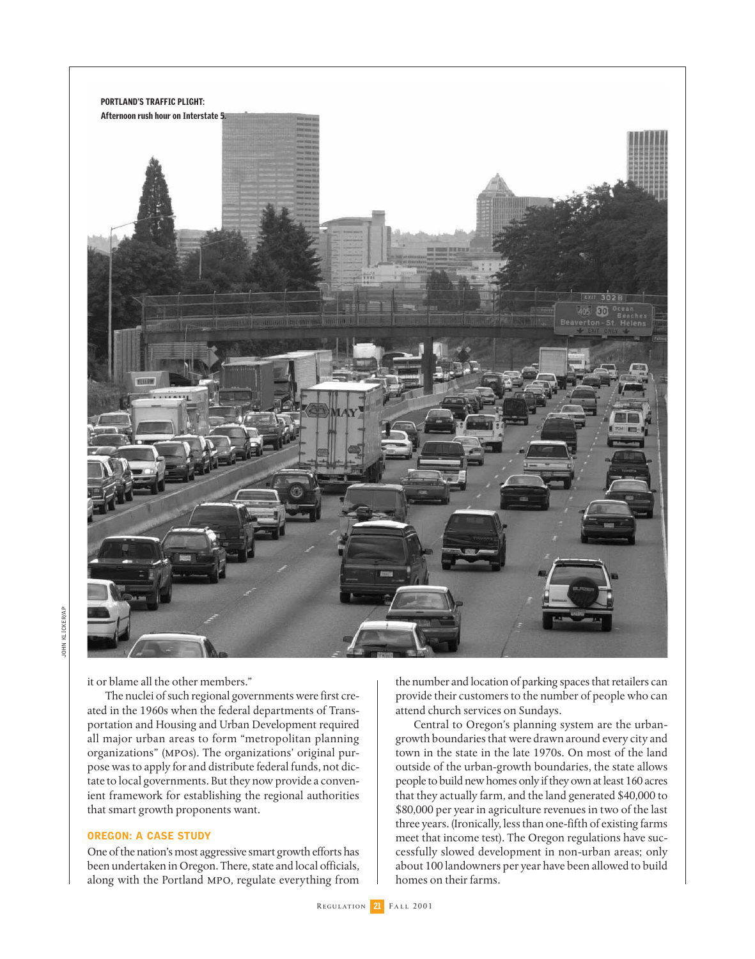

it or blame all the other members."

The nuclei of such regional governments were first created in the 1960s when the federal departments of Transportation and Housing and Urban Development required all major urban areas to form "metropolitan planning organizations" (mpos). The organizations' original purpose was to apply for and distribute federal funds, not dictate to local governments. But they now provide a convenient framework for establishing the regional authorities that smart growth proponents want.

#### OREGON: A CASE STUDY

One of the nation's most aggressive smart growth efforts has been undertaken in Oregon. There, state and local officials, along with the Portland mpo, regulate everything from

the number and location of parking spaces that retailers can provide their customers to the number of people who can attend church services on Sundays.

Central to Oregon's planning system are the urbangrowth boundaries that were drawn around every city and town in the state in the late 1970s. On most of the land outside of the urban-growth boundaries, the state allows people to build new homes only if they own at least 160 acres that they actually farm, and the land generated \$40,000 to \$80,000 per year in agriculture revenues in two of the last three years. (Ironically, less than one-fifth of existing farms meet that income test). The Oregon regulations have successfully slowed development in non-urban areas; only about 100 landowners per year have been allowed to build homes on their farms.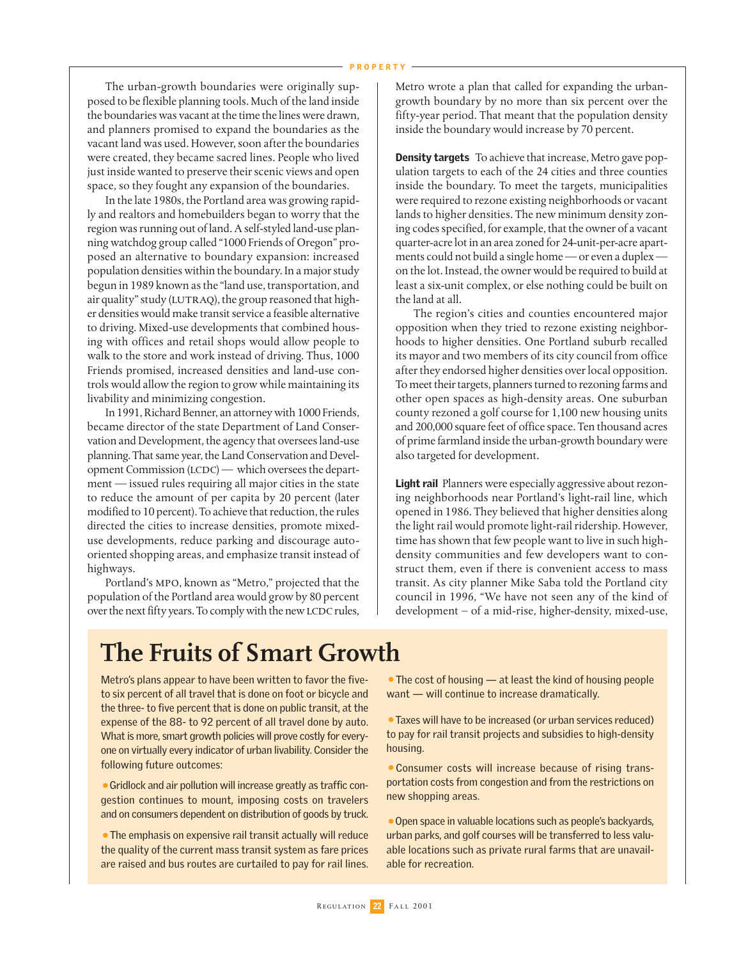The urban-growth boundaries were originally supposed to be flexible planning tools. Much of the land inside the boundaries was vacant at the time the lines were drawn, and planners promised to expand the boundaries as the vacant land was used. However, soon after the boundaries were created, they became sacred lines. People who lived just inside wanted to preserve their scenic views and open space, so they fought any expansion of the boundaries.

In the late 1980s, the Portland area was growing rapidly and realtors and homebuilders began to worry that the region was running out of land. A self-styled land-use planning watchdog group called "1000 Friends of Oregon" proposed an alternative to boundary expansion: increased population densities within the boundary. In a major study begun in 1989 known as the "land use, transportation, and air quality" study (LUTRAQ), the group reasoned that higher densities would make transit service a feasible alternative to driving. Mixed-use developments that combined housing with offices and retail shops would allow people to walk to the store and work instead of driving. Thus, 1000 Friends promised, increased densities and land-use controls would allow the region to grow while maintaining its livability and minimizing congestion.

In 1991, Richard Benner, an attorney with 1000 Friends, became director of the state Department of Land Conservation and Development, the agency that oversees land-use planning. That same year, the Land Conservation and Development Commission  $(LCDC)$  — which oversees the department — issued rules requiring all major cities in the state to reduce the amount of per capita by 20 percent (later modified to 10 percent). To achieve that reduction, the rules directed the cities to increase densities, promote mixeduse developments, reduce parking and discourage autooriented shopping areas, and emphasize transit instead of highways.

Portland's mpo, known as "Metro," projected that the population of the Portland area would grow by 80 percent over the next fifty years. To comply with the new LCDC rules, Metro wrote a plan that called for expanding the urbangrowth boundary by no more than six percent over the fifty-year period. That meant that the population density inside the boundary would increase by 70 percent.

**Density targets** To achieve that increase, Metro gave population targets to each of the 24 cities and three counties inside the boundary. To meet the targets, municipalities were required to rezone existing neighborhoods or vacant lands to higher densities. The new minimum density zoning codes specified, for example, that the owner of a vacant quarter-acre lot in an area zoned for 24-unit-per-acre apartments could not build a single home — or even a duplex on the lot. Instead, the owner would be required to build at least a six-unit complex, or else nothing could be built on the land at all.

The region's cities and counties encountered major opposition when they tried to rezone existing neighborhoods to higher densities. One Portland suburb recalled its mayor and two members of its city council from office after they endorsed higher densities over local opposition. To meet their targets, planners turned to rezoning farms and other open spaces as high-density areas. One suburban county rezoned a golf course for 1,100 new housing units and 200,000 square feet of office space. Ten thousand acres of prime farmland inside the urban-growth boundary were also targeted for development.

Light rail Planners were especially aggressive about rezoning neighborhoods near Portland's light-rail line, which opened in 1986. They believed that higher densities along the light rail would promote light-rail ridership. However, time has shown that few people want to live in such highdensity communities and few developers want to construct them, even if there is convenient access to mass transit. As city planner Mike Saba told the Portland city council in 1996, "We have not seen any of the kind of development – of a mid-rise, higher-density, mixed-use,

## **The Fruits of Smart Growth**

Metro's plans appear to have been written to favor the fiveto six percent of all travel that is done on foot or bicycle and the three- to five percent that is done on public transit, at the expense of the 88- to 92 percent of all travel done by auto. What is more, smart growth policies will prove costly for everyone on virtually every indicator of urban livability. Consider the following future outcomes:

•Gridlock and air pollution will increase greatly as traffic congestion continues to mount, imposing costs on travelers and on consumers dependent on distribution of goods by truck.

•The emphasis on expensive rail transit actually will reduce the quality of the current mass transit system as fare prices are raised and bus routes are curtailed to pay for rail lines.

• The cost of housing — at least the kind of housing people want — will continue to increase dramatically.

•Taxes will have to be increased (or urban services reduced) to pay for rail transit projects and subsidies to high-density housing.

•Consumer costs will increase because of rising transportation costs from congestion and from the restrictions on new shopping areas.

•Open space in valuable locations such as people's backyards, urban parks, and golf courses will be transferred to less valuable locations such as private rural farms that are unavailable for recreation.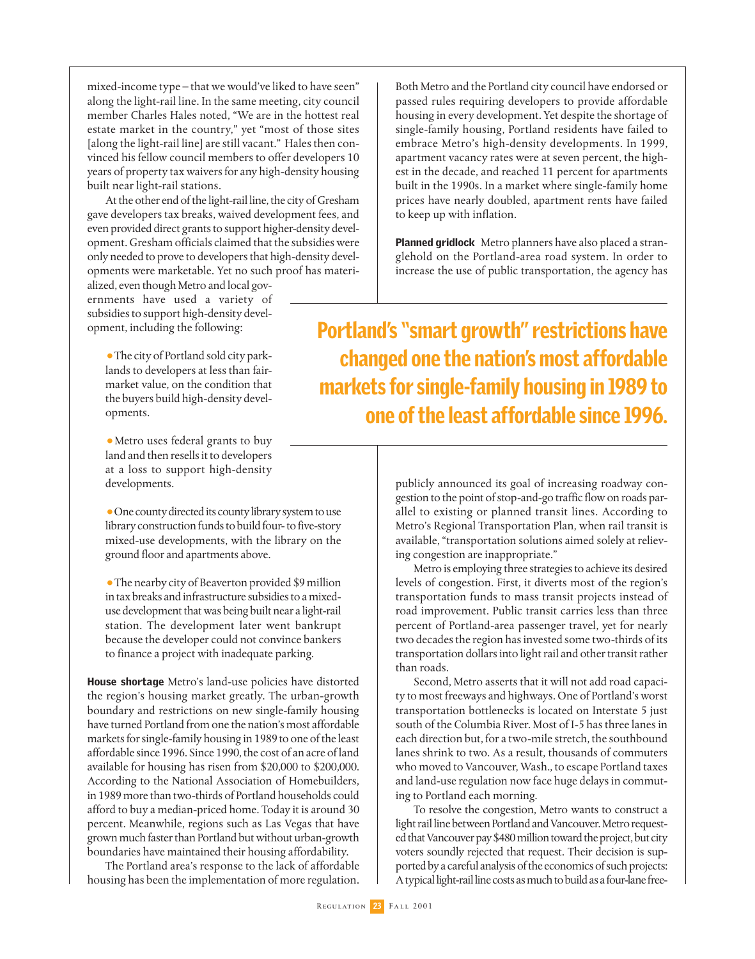mixed-income type – that we would've liked to have seen" along the light-rail line. In the same meeting, city council member Charles Hales noted, "We are in the hottest real estate market in the country," yet "most of those sites [along the light-rail line] are still vacant." Hales then convinced his fellow council members to offer developers 10 years of property tax waivers for any high-density housing built near light-rail stations.

At the other end of the light-rail line, the city of Gresham gave developers tax breaks, waived development fees, and even provided direct grants to support higher-density development. Gresham officials claimed that the subsidies were only needed to prove to developers that high-density developments were marketable. Yet no such proof has materi-

alized, even though Metro and local governments have used a variety of subsidies to support high-density development, including the following:

•The city of Portland sold city parklands to developers at less than fairmarket value, on the condition that the buyers build high-density developments.

•Metro uses federal grants to buy land and then resells it to developers at a loss to support high-density developments.

•One county directed its county library system to use library construction funds to build four- to five-story mixed-use developments, with the library on the ground floor and apartments above.

•The nearby city of Beaverton provided \$9 million in tax breaks and infrastructure subsidies to a mixeduse development that was being built near a light-rail station. The development later went bankrupt because the developer could not convince bankers to finance a project with inadequate parking.

House shortage Metro's land-use policies have distorted the region's housing market greatly. The urban-growth boundary and restrictions on new single-family housing have turned Portland from one the nation's most affordable markets for single-family housing in 1989 to one of the least affordable since 1996. Since 1990, the cost of an acre of land available for housing has risen from \$20,000 to \$200,000. According to the National Association of Homebuilders, in 1989 more than two-thirds of Portland households could afford to buy a median-priced home. Today it is around 30 percent. Meanwhile, regions such as Las Vegas that have grown much faster than Portland but without urban-growth boundaries have maintained their housing affordability.

The Portland area's response to the lack of affordable housing has been the implementation of more regulation.

Both Metro and the Portland city council have endorsed or passed rules requiring developers to provide affordable housing in every development. Yet despite the shortage of single-family housing, Portland residents have failed to embrace Metro's high-density developments. In 1999, apartment vacancy rates were at seven percent, the highest in the decade, and reached 11 percent for apartments built in the 1990s. In a market where single-family home prices have nearly doubled, apartment rents have failed to keep up with inflation.

**Planned gridlock** Metro planners have also placed a stranglehold on the Portland-area road system. In order to increase the use of public transportation, the agency has

Portland's "smart growth" restrictions have changed one the nation's most affordable markets for single-family housing in 1989 to one of the least affordable since 1996.

> publicly announced its goal of increasing roadway congestion to the point of stop-and-go traffic flow on roads parallel to existing or planned transit lines. According to Metro's Regional Transportation Plan, when rail transit is available, "transportation solutions aimed solely at relieving congestion are inappropriate."

> Metro is employing three strategies to achieve its desired levels of congestion. First, it diverts most of the region's transportation funds to mass transit projects instead of road improvement. Public transit carries less than three percent of Portland-area passenger travel, yet for nearly two decades the region has invested some two-thirds of its transportation dollars into light rail and other transit rather than roads.

> Second, Metro asserts that it will not add road capacity to most freeways and highways. One of Portland's worst transportation bottlenecks is located on Interstate 5 just south of the Columbia River. Most of I-5 has three lanes in each direction but, for a two-mile stretch, the southbound lanes shrink to two. As a result, thousands of commuters who moved to Vancouver, Wash., to escape Portland taxes and land-use regulation now face huge delays in commuting to Portland each morning.

> To resolve the congestion, Metro wants to construct a light rail line between Portland and Vancouver. Metro requested that Vancouver pay \$480 million toward the project, but city voters soundly rejected that request. Their decision is supported by a careful analysis of the economics of such projects: A typical light-rail line costs as much to build as a four-lane free-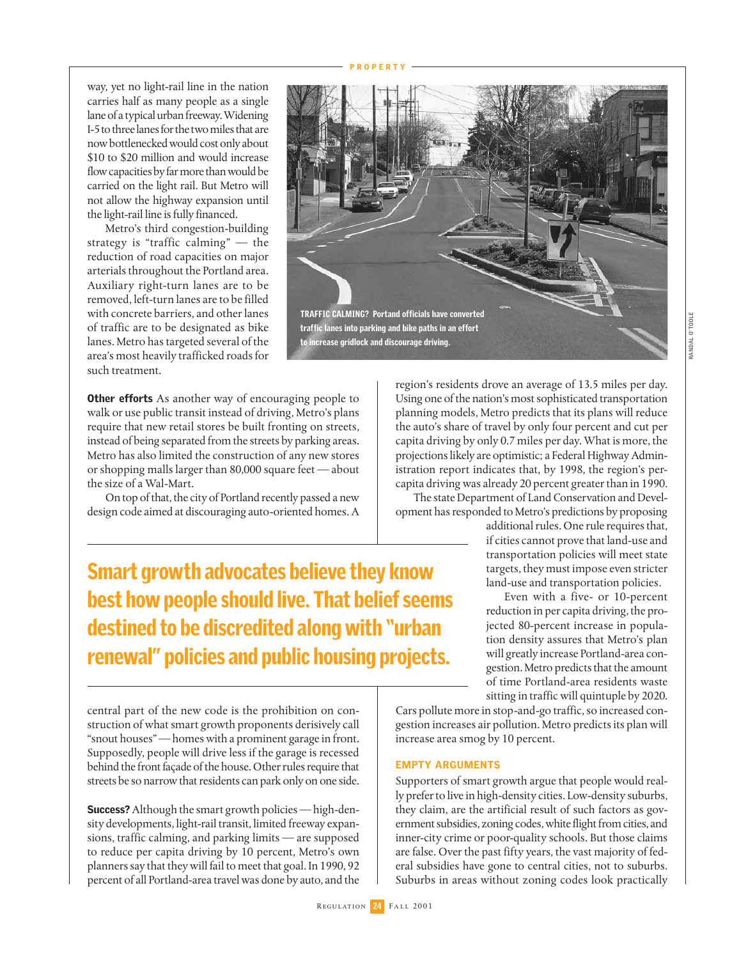way, yet no light-rail line in the nation carries half as many people as a single lane of a typical urban freeway. Widening I-5 to three lanes for the two miles that are now bottlenecked would cost only about \$10 to \$20 million and would increase flow capacities by far more than would be carried on the light rail. But Metro will not allow the highway expansion until the light-rail line is fully financed.

Metro's third congestion-building strategy is "traffic calming" — the reduction of road capacities on major arterials throughout the Portland area. Auxiliary right-turn lanes are to be removed, left-turn lanes are to be filled with concrete barriers, and other lanes of traffic are to be designated as bike lanes. Metro has targeted several of the area's most heavily trafficked roads for such treatment.

**Other efforts** As another way of encouraging people to walk or use public transit instead of driving, Metro's plans require that new retail stores be built fronting on streets, instead of being separated from the streets by parking areas. Metro has also limited the construction of any new stores or shopping malls larger than 80,000 square feet — about the size of a Wal-Mart.

On top of that, the city of Portland recently passed a new design code aimed at discouraging auto-oriented homes. A

region's residents drove an average of 13.5 miles per day. Using one of the nation's most sophisticated transportation planning models, Metro predicts that its plans will reduce the auto's share of travel by only four percent and cut per capita driving by only 0.7 miles per day. What is more, the projections likely are optimistic; a Federal Highway Administration report indicates that, by 1998, the region's percapita driving was already 20 percent greater than in 1990.

The state Department of Land Conservation and Development has responded to Metro's predictions by proposing

additional rules. One rule requires that, if cities cannot prove that land-use and transportation policies will meet state targets, they must impose even stricter land-use and transportation policies.

Even with a five- or 10-percent reduction in per capita driving, the projected 80-percent increase in population density assures that Metro's plan will greatly increase Portland-area congestion. Metro predicts that the amount of time Portland-area residents waste sitting in traffic will quintuple by 2020.

Smart growth advocates believe they know best how people should live. That belief seems destined to be discredited along with "urban renewal" policies and public housing projects.

central part of the new code is the prohibition on construction of what smart growth proponents derisively call "snout houses" — homes with a prominent garage in front. Supposedly, people will drive less if the garage is recessed behind the front façade of the house. Other rules require that streets be so narrow that residents can park only on one side.

Success? Although the smart growth policies - high-density developments, light-rail transit, limited freeway expansions, traffic calming, and parking limits — are supposed to reduce per capita driving by 10 percent, Metro's own planners say that they will fail to meet that goal. In 1990, 92 percent of all Portland-area travel was done by auto, and the



increase area smog by 10 percent.

Supporters of smart growth argue that people would really prefer to live in high-density cities. Low-density suburbs, they claim, are the artificial result of such factors as government subsidies, zoning codes, white flight from cities, and inner-city crime or poor-quality schools. But those claims are false. Over the past fifty years, the vast majority of federal subsidies have gone to central cities, not to suburbs. Suburbs in areas without zoning codes look practically

Cars pollute more in stop-and-go traffic, so increased congestion increases air pollution. Metro predicts its plan will